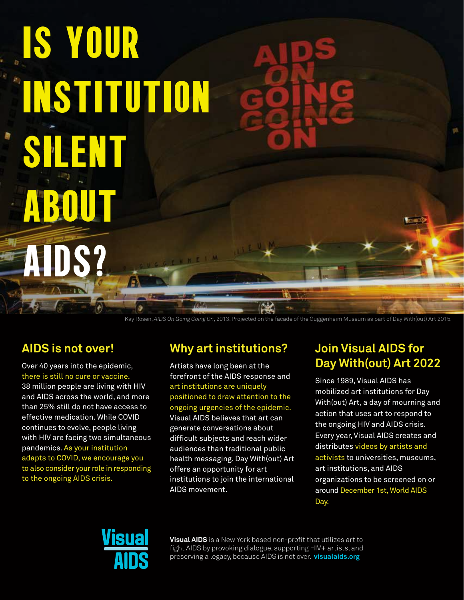Is your institution SIENT ABOU S? **WELL** 

Kay Rosen, *AIDS On Going Going On*, 2013. Projected on the facade of the Guggenheim Museum as part of Day With(out) Art 2015.

## **AIDS is not over!**

Over 40 years into the epidemic, there is still no cure or vaccine.

38 million people are living with HIV and AIDS across the world, and more than 25% still do not have access to effective medication. While COVID continues to evolve, people living with HIV are facing two simultaneous pandemics. As your institution adapts to COVID, we encourage you to also consider your role in responding to the ongoing AIDS crisis.

## **Why art institutions?**

Artists have long been at the forefront of the AIDS response and art institutions are uniquely positioned to draw attention to the ongoing urgencies of the epidemic. Visual AIDS believes that art can generate conversations about difficult subjects and reach wider audiences than traditional public health messaging. Day With(out) Art offers an opportunity for art institutions to join the international AIDS movement.

## **Join Visual AIDS for Day With(out) Art 2022**

Since 1989, Visual AIDS has mobilized art institutions for Day With(out) Art, a day of mourning and action that uses art to respond to the ongoing HIV and AIDS crisis. Every year, Visual AIDS creates and distributes videos by artists and activists to universities, museums, art institutions, and AIDS organizations to be screened on or around December 1st, World AIDS Day.



**Visual AIDS** is a New York based non-profit that utilizes art to fight AIDS by provoking dialogue, supporting HIV+ artists, and preserving a legacy, because AIDS is not over. **<visualaids.org>**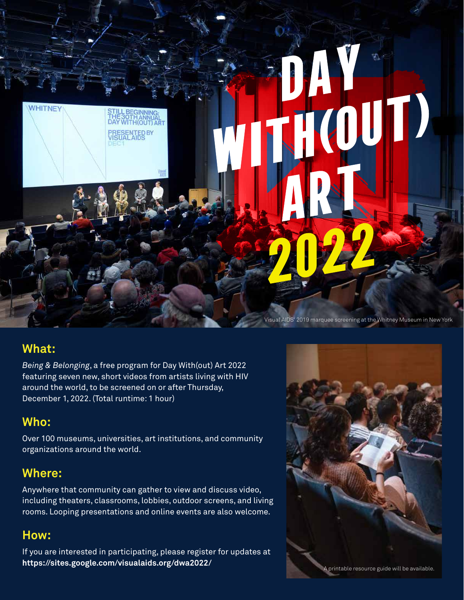

### **What:**

*Being & Belonging*, a free program for Day With(out) Art 2022 featuring seven new, short videos from artists living with HIV around the world, to be screened on or after Thursday, December 1, 2022. (Total runtime: 1 hour)

## **Who:**

Over 100 museums, universities, art institutions, and community organizations around the world.

## **Where:**

Anywhere that community can gather to view and discuss video, including theaters, classrooms, lobbies, outdoor screens, and living rooms. Looping presentations and online events are also welcome.

## **How:**

If you are interested in participating, please register for updates at **https://sites.google.com/visualaids.org/dwa2022/**

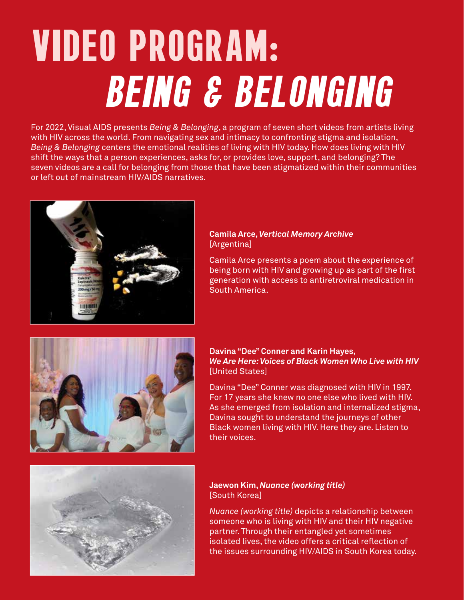# Video Program: Being & Belonging

For 2022, Visual AIDS presents *Being & Belonging*, a program of seven short videos from artists living with HIV across the world. From navigating sex and intimacy to confronting stigma and isolation, *Being & Belonging* centers the emotional realities of living with HIV today. How does living with HIV shift the ways that a person experiences, asks for, or provides love, support, and belonging? The seven videos are a call for belonging from those that have been stigmatized within their communities or left out of mainstream HIV/AIDS narratives.



#### **Camila Arce,** *Vertical Memory Archive* [Argentina]

Camila Arce presents a poem about the experience of being born with HIV and growing up as part of the first generation with access to antiretroviral medication in South America.



#### **Davina "Dee" Conner and Karin Hayes,** *We Are Here: Voices of Black Women Who Live with HIV* [United States]

Davina "Dee" Conner was diagnosed with HIV in 1997. For 17 years she knew no one else who lived with HIV. As she emerged from isolation and internalized stigma, Davina sought to understand the journeys of other Black women living with HIV. Here they are. Listen to their voices.



#### **Jaewon Kim,** *Nuance (working title)* [South Korea]

*Nuance (working title)* depicts a relationship between someone who is living with HIV and their HIV negative partner. Through their entangled yet sometimes isolated lives, the video offers a critical reflection of the issues surrounding HIV/AIDS in South Korea today.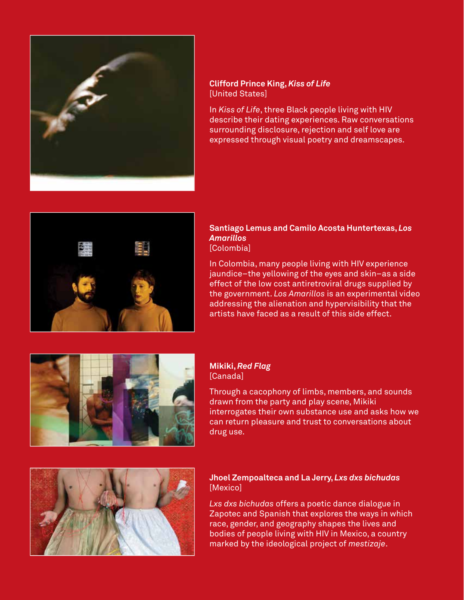

#### **Clifford Prince King,** *Kiss of Life* [United States]

In *Kiss of Life*, three Black people living with HIV describe their dating experiences. Raw conversations surrounding disclosure, rejection and self love are expressed through visual poetry and dreamscapes.



#### **Santiago Lemus and Camilo Acosta Huntertexas,** *Los Amarillos* [Colombia]

In Colombia, many people living with HIV experience jaundice–the yellowing of the eyes and skin–as a side effect of the low cost antiretroviral drugs supplied by the government. *Los Amarillos* is an experimental video addressing the alienation and hypervisibility that the artists have faced as a result of this side effect.



#### **Mikiki,** *Red Flag* [Canada]

Through a cacophony of limbs, members, and sounds drawn from the party and play scene, Mikiki interrogates their own substance use and asks how we can return pleasure and trust to conversations about drug use.



#### **Jhoel Zempoalteca and La Jerry,** *Lxs dxs bichudas* [Mexico]

*Lxs dxs bichudas* offers a poetic dance dialogue in Zapotec and Spanish that explores the ways in which race, gender, and geography shapes the lives and bodies of people living with HIV in Mexico, a country marked by the ideological project of *mestizaje*.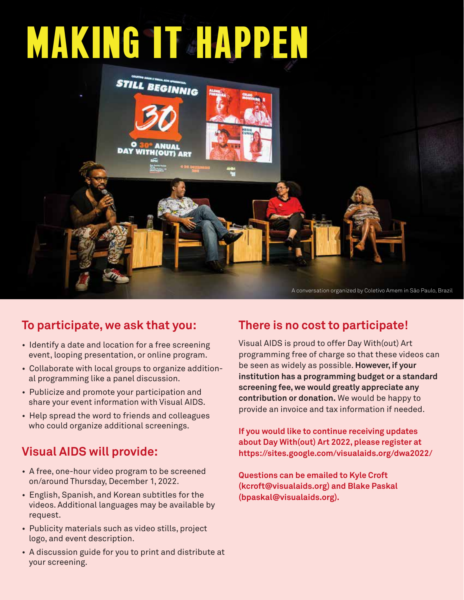# **MAKING IT HAPPEN**



# **To participate, we ask that you:**

- Identify a date and location for a free screening event, looping presentation, or online program.
- Collaborate with local groups to organize additional programming like a panel discussion.
- Publicize and promote your participation and share your event information with Visual AIDS.
- Help spread the word to friends and colleagues who could organize additional screenings.

## **Visual AIDS will provide:**

- A free, one-hour video program to be screened on/around Thursday, December 1, 2022.
- English, Spanish, and Korean subtitles for the videos. Additional languages may be available by request.
- Publicity materials such as video stills, project logo, and event description.
- A discussion guide for you to print and distribute at your screening.

# **There is no cost to participate!**

Visual AIDS is proud to offer Day With(out) Art programming free of charge so that these videos can be seen as widely as possible. **However, if your institution has a programming budget or a standard screening fee, we would greatly appreciate any contribution or donation.** We would be happy to provide an invoice and tax information if needed.

**If you would like to continue receiving updates about Day With(out) Art 2022, please register at https://sites.google.com/visualaids.org/dwa2022/**

**Questions can be emailed to Kyle Croft (kcroft@visualaids.org) and Blake Paskal (bpaskal@visualaids.org).**